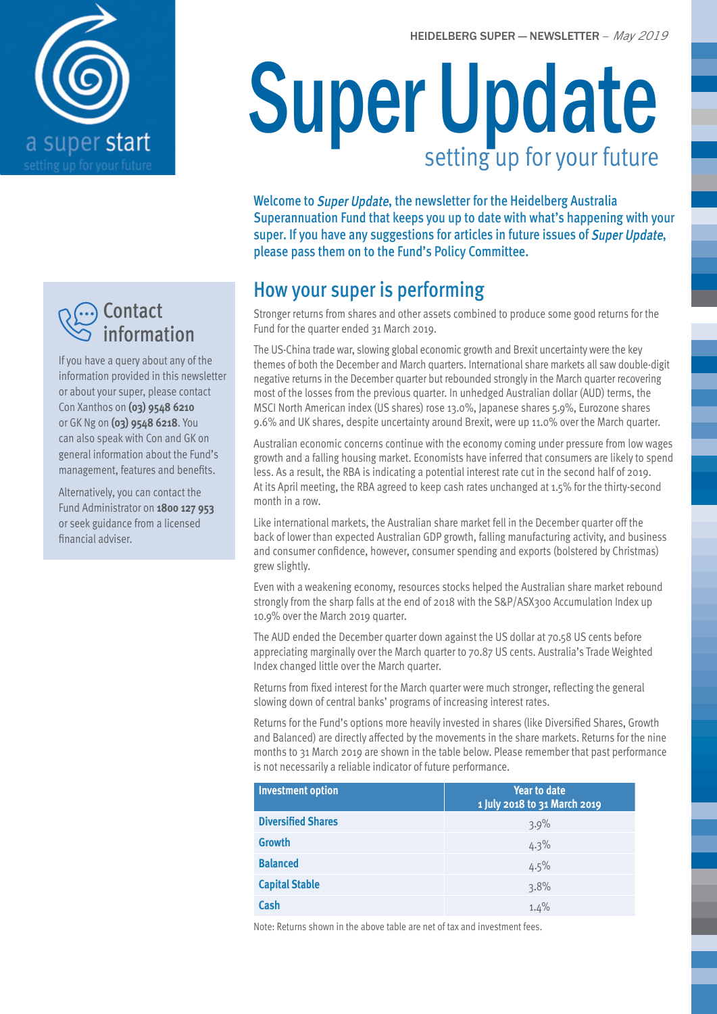HEIDELBERG SUPER — NEWSLETTER – *May 2019*



### ··) Contact information

If you have a query about any of the information provided in this newsletter or about your super, please contact Con Xanthos on **(03) 9548 6210** or GK Ng on **(03) 9548 6218**. You can also speak with Con and GK on general information about the Fund's management, features and benefits.

Alternatively, you can contact the Fund Administrator on **1800 127 953** or seek guidance from a licensed financial adviser.

# Super Update setting up for your future

Welcome to Super Update, the newsletter for the Heidelberg Australia Superannuation Fund that keeps you up to date with what's happening with your super. If you have any suggestions for articles in future issues of Super Update, please pass them on to the Fund's Policy Committee.

# How your super is performing

Stronger returns from shares and other assets combined to produce some good returns for the Fund for the quarter ended 31 March 2019.

The US-China trade war, slowing global economic growth and Brexit uncertainty were the key themes of both the December and March quarters. International share markets all saw double-digit negative returns in the December quarter but rebounded strongly in the March quarter recovering most of the losses from the previous quarter. In unhedged Australian dollar (AUD) terms, the MSCI North American index (US shares) rose 13.0%, Japanese shares 5.9%, Eurozone shares 9.6% and UK shares, despite uncertainty around Brexit, were up 11.0% over the March quarter.

Australian economic concerns continue with the economy coming under pressure from low wages growth and a falling housing market. Economists have inferred that consumers are likely to spend less. As a result, the RBA is indicating a potential interest rate cut in the second half of 2019. At its April meeting, the RBA agreed to keep cash rates unchanged at 1.5% for the thirty-second month in a row.

Like international markets, the Australian share market fell in the December quarter off the back of lower than expected Australian GDP growth, falling manufacturing activity, and business and consumer confidence, however, consumer spending and exports (bolstered by Christmas) grew slightly.

Even with a weakening economy, resources stocks helped the Australian share market rebound strongly from the sharp falls at the end of 2018 with the S&P/ASX300 Accumulation Index up 10.9% over the March 2019 quarter.

The AUD ended the December quarter down against the US dollar at 70.58 US cents before appreciating marginally over the March quarter to 70.87 US cents. Australia's Trade Weighted Index changed little over the March quarter.

Returns from fixed interest for the March quarter were much stronger, reflecting the general slowing down of central banks' programs of increasing interest rates.

Returns for the Fund's options more heavily invested in shares (like Diversified Shares, Growth and Balanced) are directly affected by the movements in the share markets. Returns for the nine months to 31 March 2019 are shown in the table below. Please remember that past performance is not necessarily a reliable indicator of future performance.

| <b>Investment option</b>  | <b>Year to date</b><br>1 July 2018 to 31 March 2019 |  |
|---------------------------|-----------------------------------------------------|--|
| <b>Diversified Shares</b> | 3.9%                                                |  |
| <b>Growth</b>             | 4.3%                                                |  |
| <b>Balanced</b>           | 4.5%                                                |  |
| <b>Capital Stable</b>     | 3.8%                                                |  |
| Cash                      | 1.4%                                                |  |

Note: Returns shown in the above table are net of tax and investment fees.